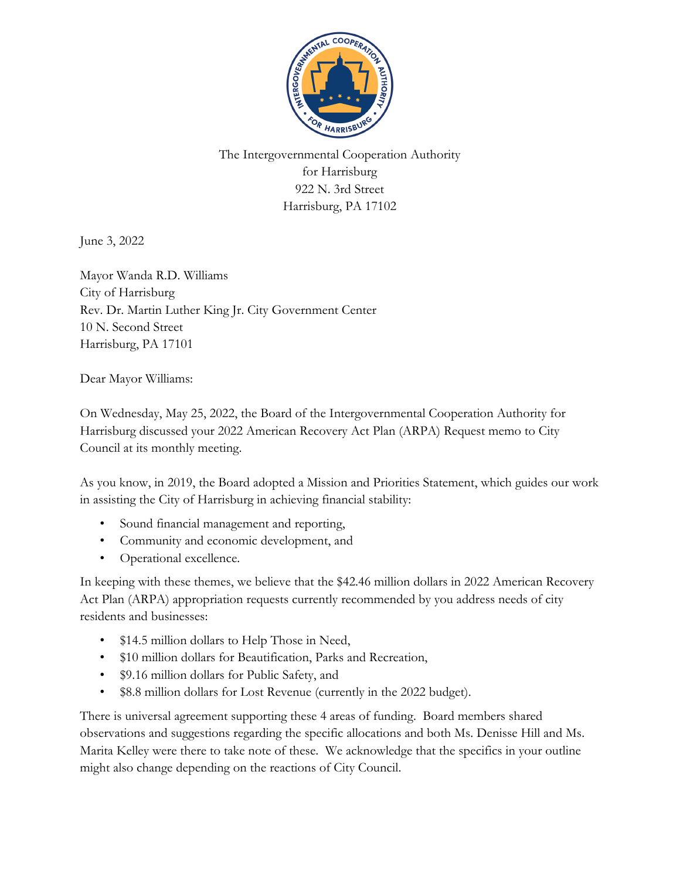

The Intergovernmental Cooperation Authority for Harrisburg 922 N. 3rd Street Harrisburg, PA 17102

June 3, 2022

Mayor Wanda R.D. Williams City of Harrisburg Rev. Dr. Martin Luther King Jr. City Government Center 10 N. Second Street Harrisburg, PA 17101

Dear Mayor Williams:

On Wednesday, May 25, 2022, the Board of the Intergovernmental Cooperation Authority for Harrisburg discussed your 2022 American Recovery Act Plan (ARPA) Request memo to City Council at its monthly meeting.

As you know, in 2019, the Board adopted a Mission and Priorities Statement, which guides our work in assisting the City of Harrisburg in achieving financial stability:

- Sound financial management and reporting,
- Community and economic development, and
- Operational excellence.

In keeping with these themes, we believe that the \$42.46 million dollars in 2022 American Recovery Act Plan (ARPA) appropriation requests currently recommended by you address needs of city residents and businesses:

- \$14.5 million dollars to Help Those in Need,
- \$10 million dollars for Beautification, Parks and Recreation,
- \$9.16 million dollars for Public Safety, and
- \$8.8 million dollars for Lost Revenue (currently in the 2022 budget).

There is universal agreement supporting these 4 areas of funding. Board members shared observations and suggestions regarding the specific allocations and both Ms. Denisse Hill and Ms. Marita Kelley were there to take note of these. We acknowledge that the specifics in your outline might also change depending on the reactions of City Council.